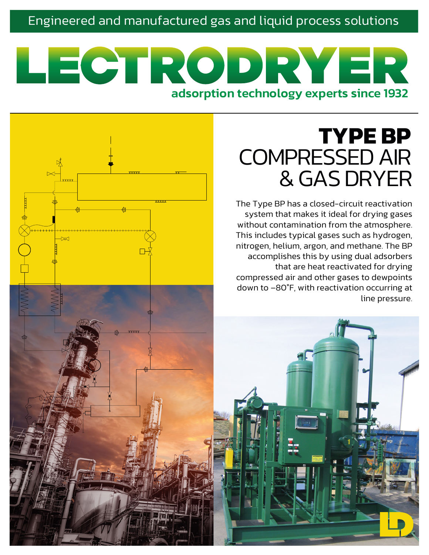### Engineered and manufactured gas and liquid process solutions

# LECTRODRYER adsorption technology experts since 1932

# **TYPE BP** COMPRESSED AIR & GAS DRYER

The Type BP has a closed-circuit reactivation system that makes it ideal for drying gases without contamination from the atmosphere. This includes typical gases such as hydrogen, nitrogen, helium, argon, and methane. The BP accomplishes this by using dual adsorbers that are heat reactivated for drying compressed air and other gases to dewpoints down to –80°F, with reactivation occurring at line pressure.

Ĩ

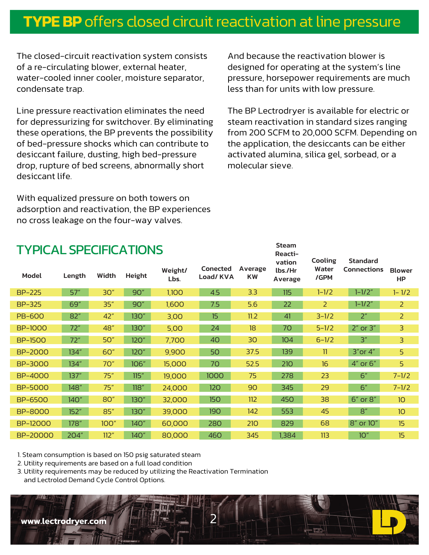# **TYPE BP** offers closed circuit reactivation at line pressure

The closed-circuit reactivation system consists of a re-circulating blower, external heater, water-cooled inner cooler, moisture separator, condensate trap.

Line pressure reactivation eliminates the need for depressurizing for switchover. By eliminating these operations, the BP prevents the possibility of bed-pressure shocks which can contribute to desiccant failure, dusting, high bed-pressure drop, rupture of bed screens, abnormally short desiccant life.

With equalized pressure on both towers on adsorption and reactivation, the BP experiences no cross leakage on the four-way valves.

And because the reactivation blower is designed for operating at the system's line pressure, horsepower requirements are much less than for units with low pressure.

The BP Lectrodryer is available for electric or steam reactivation in standard sizes ranging from 200 SCFM to 20,000 SCFM. Depending on the application, the desiccants can be either activated alumina, silica gel, sorbead, or a molecular sieve.

| <b>Steam</b><br><b>TYPICAL SPECIFICATIONS</b><br>Reacti- |        |             |        |                 |                      |                      |                              |                          |                                       |                            |
|----------------------------------------------------------|--------|-------------|--------|-----------------|----------------------|----------------------|------------------------------|--------------------------|---------------------------------------|----------------------------|
| Model                                                    | Length | Width       | Height | Weight/<br>Lbs. | Conected<br>Load/KVA | Average<br><b>KW</b> | vation<br>lbs./Hr<br>Average | Cooling<br>Water<br>/GPM | <b>Standard</b><br><b>Connections</b> | <b>Blower</b><br><b>HP</b> |
| <b>BP-225</b>                                            | 57"    | 30"         | 90"    | 1,100           | 4.5                  | 3.3                  | 115                          | $1 - 1/2$                | $1 - 1/2"$                            | $1 - 1/2$                  |
| <b>BP-325</b>                                            | 69"    | 35"         | 90"    | 1,600           | 7.5                  | 5.6                  | 22                           | 2                        | $1 - 1/2"$                            | 2                          |
| <b>PB-600</b>                                            | 82"    | 42"         | 130"   | 3,00            | 15                   | 11.2                 | 41                           | $3 - 1/2$                | 2 <sup>n</sup>                        | 2                          |
| <b>BP-1000</b>                                           | 72"    | 48"         | 130"   | 5,00            | 24                   | 18                   | 70                           | $5 - 1/2$                | $2''$ or $3''$                        | 3                          |
| <b>BP-1500</b>                                           | 72"    | 50"         | 120"   | 7,700           | 40                   | 30                   | 104                          | $6 - 1/2$                | $\mathbf{B}^{\prime\prime}$           | 3                          |
| <b>BP-2000</b>                                           | 134"   | 60"         | 120"   | 9,900           | 50                   | 37.5                 | 139                          | 11                       | $3"$ or $4"$                          | 5                          |
| BP-3000                                                  | 134''  | 70"         | 106"   | 15,000          | 70                   | 52.5                 | 210                          | 16                       | 4" or 6"                              | 5 <sup>1</sup>             |
| <b>BP-4000</b>                                           | 137''  | 75''        | 115"   | 19,000          | 1000                 | 75                   | 278                          | 23                       | 6''                                   | $7 - 1/2$                  |
| <b>BP-5000</b>                                           | 148"   | 75''        | 118"   | 24,000          | 120                  | 90                   | 345                          | 29                       | 6''                                   | $7 - 1/2$                  |
| <b>BP-6500</b>                                           | 140"   | 80"         | 130"   | 32,000          | <b>150</b>           | 112                  | 450                          | 38                       | 6" or 8"                              | 10 <sup>°</sup>            |
| <b>BP-8000</b>                                           | 152"   | 85"         | 130"   | 39,000          | 190                  | 142                  | 553                          | 45                       | 8''                                   | 10 <sup>°</sup>            |
| <b>BP-12000</b>                                          | 178"   | <b>100"</b> | 140"   | 60,000          | 280                  | 210                  | 829                          | 68                       | 8" or 10"                             | 15                         |
| BP-20000                                                 | 204"   | 112"        | 140"   | 80,000          | 460                  | 345                  | 1,384                        | 113                      | 10"                                   | 15 <sup>15</sup>           |

1. Steam consumption is based on 150 psig saturated steam

2. Utility requirements are based on a full load condition

3. Utility requirements may be reduced by utilizing the Reactivation Termination and Lectrolod Demand Cycle Control Options.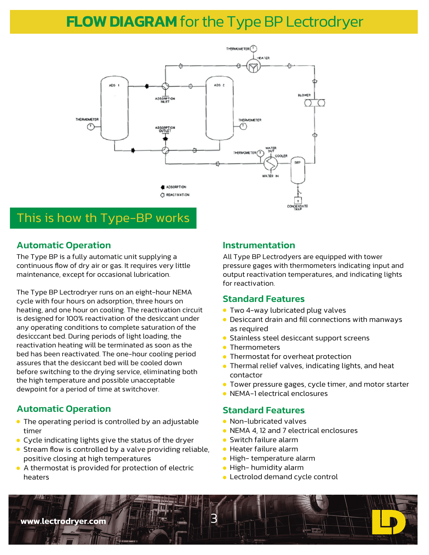## **FLOW DIAGRAM** for the Type BP Lectrodryer



### This is how th Type-BP works

#### Automatic Operation

The Type BP is a fully automatic unit supplying a continuous flow of dry air or gas. It requires very little maintenance, except for occasional lubrication.

The Type BP Lectrodryer runs on an eight-hour NEMA cycle with four hours on adsorption, three hours on heating, and one hour on cooling. The reactivation circuit is designed for 100% reactivation of the desiccant under any operating conditions to complete saturation of the desicccant bed. During periods of light loading, the reactivation heating will be terminated as soon as the bed has been reactivated. The one-hour cooling period assures that the desiccant bed will be cooled down before switching to the drying service, eliminating both the high temperature and possible unacceptable dewpoint for a period of time at switchover.

#### Automatic Operation

- The operating period is controlled by an adjustable timer
- Cycle indicating lights give the status of the dryer
- Stream flow is controlled by a valve providing reliable, positive closing at high temperatures
- A thermostat is provided for protection of electric heaters

#### Instrumentation

All Type BP Lectrodyers are equipped with tower pressure gages with thermometers indicating input and output reactivation temperatures, and indicating lights for reactivation.

#### Standard Features

- **Two 4-way lubricated plug valves**
- Desiccant drain and fill connections with manways as required
- **Stainless steel desiccant support screens**
- **Thermometers**
- **Thermostat for overheat protection**
- **•** Thermal relief valves, indicating lights, and heat contactor
- Tower pressure gages, cycle timer, and motor starter
- NEMA-1 electrical enclosures

#### Standard Features

- Non-lubricated valves
- NEMA 4, 12 and 7 electrical enclosures
- **•** Switch failure alarm
- Heater failure alarm
- High- temperature alarm
- High- humidity alarm
- Lectrolod demand cycle control